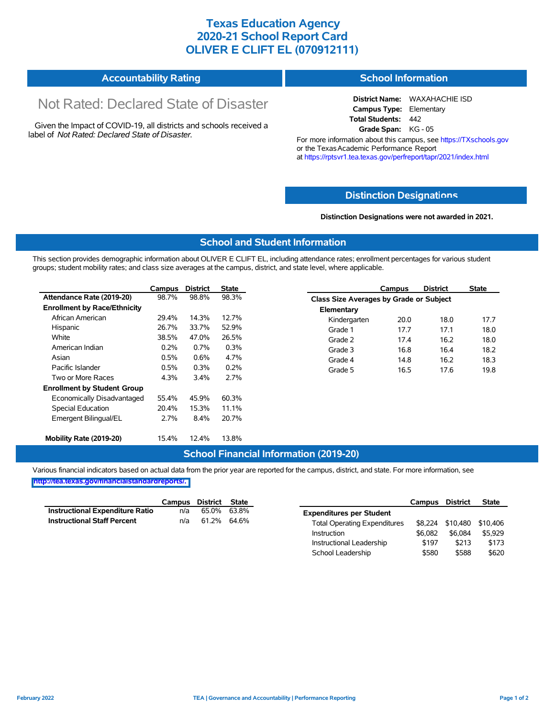## **Texas Education Agency 2020-21 School Report Card OLIVER E CLIFT EL (070912111)**

#### **Accountability Rating School Information**

# Not Rated: Declared State of Disaster

Given the Impact of COVID-19, all districts and schools received a label of *Not Rated: Declared State of Disaster.*

**District Name:** WAXAHACHIE ISD **Campus Type:** Elementary **Total Students:** 442 **Grade Span:** KG - 05

For more information about this campus, see https://TXschools.gov or the Texas Academic Performance Report at https://rptsvr1.tea.texas.gov/perfreport/tapr/2021/index.html

#### **Distinction Designat[ions](https://TXschools.gov)**

**Distinction Designations were not awarded in 2021.**

School Leadership  $$580$  \$588 \$620

#### **School and Student Information**

This section provides demographic information about OLIVER E CLIFT EL, including attendance rates; enrollment percentages for various student groups; student mobility rates; and class size averages at the campus, district, and state level, where applicable.

|                                     | Campus | <b>District</b> | <b>State</b> |              | Campus                                  | <b>District</b> | <b>State</b> |  |  |  |
|-------------------------------------|--------|-----------------|--------------|--------------|-----------------------------------------|-----------------|--------------|--|--|--|
| Attendance Rate (2019-20)           | 98.7%  | 98.8%           | 98.3%        |              | Class Size Averages by Grade or Subject |                 |              |  |  |  |
| <b>Enrollment by Race/Ethnicity</b> |        |                 |              | Elementary   |                                         |                 |              |  |  |  |
| African American                    | 29.4%  | 14.3%           | 12.7%        | Kindergarten | 20.0                                    | 18.0            | 17.7         |  |  |  |
| Hispanic                            | 26.7%  | 33.7%           | 52.9%        | Grade 1      | 17.7                                    | 17.1            | 18.0         |  |  |  |
| White                               | 38.5%  | 47.0%           | 26.5%        | Grade 2      | 17.4                                    | 16.2            | 18.0         |  |  |  |
| American Indian                     | 0.2%   | $0.7\%$         | 0.3%         | Grade 3      | 16.8                                    | 16.4            | 18.2         |  |  |  |
| Asian                               | 0.5%   | 0.6%            | 4.7%         | Grade 4      | 14.8                                    | 16.2            | 18.3         |  |  |  |
| Pacific Islander                    | 0.5%   | 0.3%            | 0.2%         | Grade 5      | 16.5                                    | 17.6            | 19.8         |  |  |  |
| Two or More Races                   | 4.3%   | 3.4%            | 2.7%         |              |                                         |                 |              |  |  |  |
| <b>Enrollment by Student Group</b>  |        |                 |              |              |                                         |                 |              |  |  |  |
| Economically Disadvantaged          | 55.4%  | 45.9%           | 60.3%        |              |                                         |                 |              |  |  |  |
| Special Education                   | 20.4%  | 15.3%           | 11.1%        |              |                                         |                 |              |  |  |  |
| Emergent Bilingual/EL               | 2.7%   | 8.4%            | 20.7%        |              |                                         |                 |              |  |  |  |
|                                     |        |                 |              |              |                                         |                 |              |  |  |  |
| Mobility Rate (2019-20)             | 15.4%  | 12.4%           | 13.8%        |              |                                         |                 |              |  |  |  |

#### **School Financial Information (2019-20)**

Various financial indicators based on actual data from the prior year are reported for the campus, district, and state. For more information, see

**[http://tea.texas.gov/financialstandardreports/.](http://tea.texas.gov/financialstandardreports/)**

|                                        | Campus | District | <b>State</b> |                                     | <b>Campus</b> | <b>District</b>  | <b>State</b> |
|----------------------------------------|--------|----------|--------------|-------------------------------------|---------------|------------------|--------------|
| <b>Instructional Expenditure Ratio</b> | n/a    | 65.0%    | 63.8%        | <b>Expenditures per Student</b>     |               |                  |              |
| <b>Instructional Staff Percent</b>     | n/a    | 61.2%    | 64.6%        | <b>Total Operating Expenditures</b> |               | \$8.224 \$10.480 | \$10,406     |
|                                        |        |          |              | Instruction                         | \$6.082       | \$6,084          | \$5,929      |
|                                        |        |          |              | Instructional Leadership            | \$197         | \$213            | \$173        |